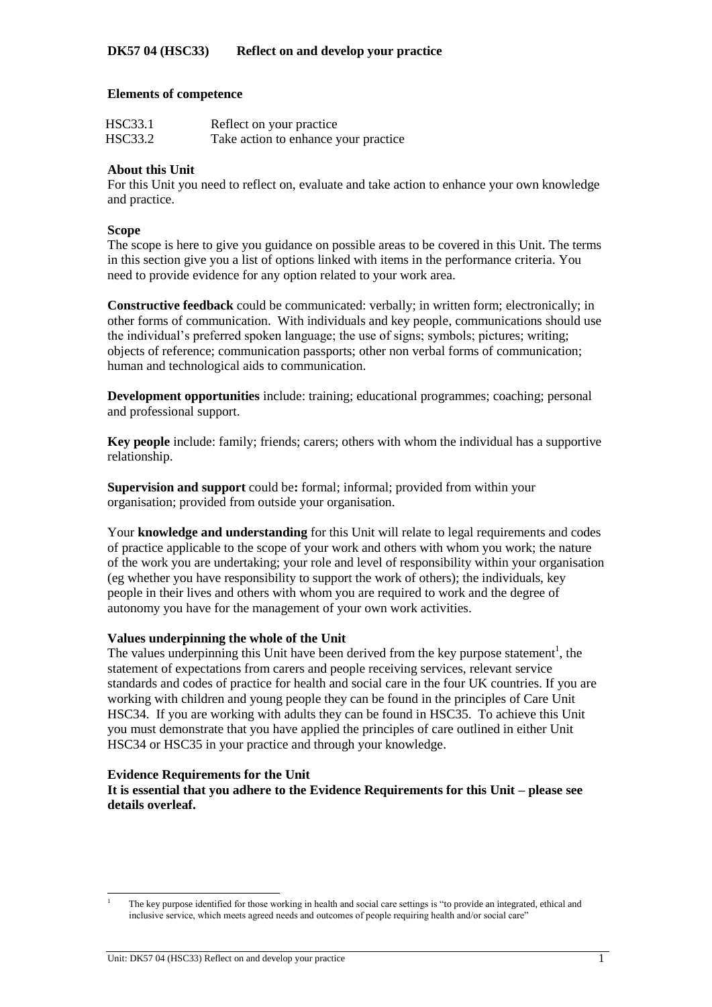#### **Elements of competence**

| HSC33.1 | Reflect on your practice             |
|---------|--------------------------------------|
| HSC33.2 | Take action to enhance your practice |

## **About this Unit**

For this Unit you need to reflect on, evaluate and take action to enhance your own knowledge and practice.

#### **Scope**

The scope is here to give you guidance on possible areas to be covered in this Unit. The terms in this section give you a list of options linked with items in the performance criteria. You need to provide evidence for any option related to your work area.

**Constructive feedback** could be communicated: verbally; in written form; electronically; in other forms of communication. With individuals and key people, communications should use the individual's preferred spoken language; the use of signs; symbols; pictures; writing; objects of reference; communication passports; other non verbal forms of communication; human and technological aids to communication.

**Development opportunities** include: training; educational programmes; coaching; personal and professional support.

**Key people** include: family; friends; carers; others with whom the individual has a supportive relationship.

**Supervision and support** could be**:** formal; informal; provided from within your organisation; provided from outside your organisation.

Your **knowledge and understanding** for this Unit will relate to legal requirements and codes of practice applicable to the scope of your work and others with whom you work; the nature of the work you are undertaking; your role and level of responsibility within your organisation (eg whether you have responsibility to support the work of others); the individuals, key people in their lives and others with whom you are required to work and the degree of autonomy you have for the management of your own work activities.

#### **Values underpinning the whole of the Unit**

The values underpinning this Unit have been derived from the key purpose statement<sup>1</sup>, the statement of expectations from carers and people receiving services, relevant service standards and codes of practice for health and social care in the four UK countries. If you are working with children and young people they can be found in the principles of Care Unit HSC34. If you are working with adults they can be found in HSC35. To achieve this Unit you must demonstrate that you have applied the principles of care outlined in either Unit HSC34 or HSC35 in your practice and through your knowledge.

#### **Evidence Requirements for the Unit**

l

**It is essential that you adhere to the Evidence Requirements for this Unit – please see details overleaf.**

<sup>1</sup> The key purpose identified for those working in health and social care settings is "to provide an integrated, ethical and inclusive service, which meets agreed needs and outcomes of people requiring health and/or social care"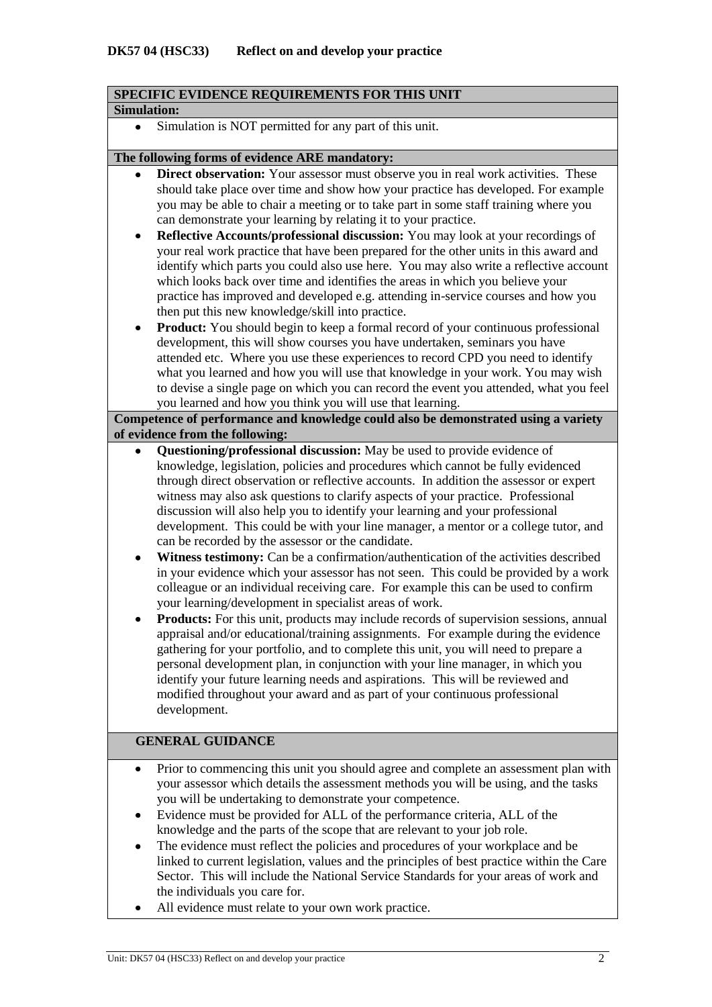## **SPECIFIC EVIDENCE REQUIREMENTS FOR THIS UNIT**

#### **Simulation:**

Simulation is NOT permitted for any part of this unit.  $\bullet$ 

#### **The following forms of evidence ARE mandatory:**

- **Direct observation:** Your assessor must observe you in real work activities. These should take place over time and show how your practice has developed. For example you may be able to chair a meeting or to take part in some staff training where you can demonstrate your learning by relating it to your practice.
- **Reflective Accounts/professional discussion:** You may look at your recordings of  $\bullet$ your real work practice that have been prepared for the other units in this award and identify which parts you could also use here. You may also write a reflective account which looks back over time and identifies the areas in which you believe your practice has improved and developed e.g. attending in-service courses and how you then put this new knowledge/skill into practice.
- **Product:** You should begin to keep a formal record of your continuous professional  $\bullet$ development, this will show courses you have undertaken, seminars you have attended etc. Where you use these experiences to record CPD you need to identify what you learned and how you will use that knowledge in your work. You may wish to devise a single page on which you can record the event you attended, what you feel you learned and how you think you will use that learning.

## **Competence of performance and knowledge could also be demonstrated using a variety of evidence from the following:**

- **Questioning/professional discussion:** May be used to provide evidence of  $\bullet$ knowledge, legislation, policies and procedures which cannot be fully evidenced through direct observation or reflective accounts. In addition the assessor or expert witness may also ask questions to clarify aspects of your practice. Professional discussion will also help you to identify your learning and your professional development. This could be with your line manager, a mentor or a college tutor, and can be recorded by the assessor or the candidate.
- **Witness testimony:** Can be a confirmation/authentication of the activities described  $\bullet$ in your evidence which your assessor has not seen. This could be provided by a work colleague or an individual receiving care. For example this can be used to confirm your learning/development in specialist areas of work.
- **Products:** For this unit, products may include records of supervision sessions, annual appraisal and/or educational/training assignments. For example during the evidence gathering for your portfolio, and to complete this unit, you will need to prepare a personal development plan, in conjunction with your line manager, in which you identify your future learning needs and aspirations. This will be reviewed and modified throughout your award and as part of your continuous professional development.

## **GENERAL GUIDANCE**

- Prior to commencing this unit you should agree and complete an assessment plan with your assessor which details the assessment methods you will be using, and the tasks you will be undertaking to demonstrate your competence.
- Evidence must be provided for ALL of the performance criteria, ALL of the knowledge and the parts of the scope that are relevant to your job role.
- The evidence must reflect the policies and procedures of your workplace and be linked to current legislation, values and the principles of best practice within the Care Sector. This will include the National Service Standards for your areas of work and the individuals you care for.
- All evidence must relate to your own work practice.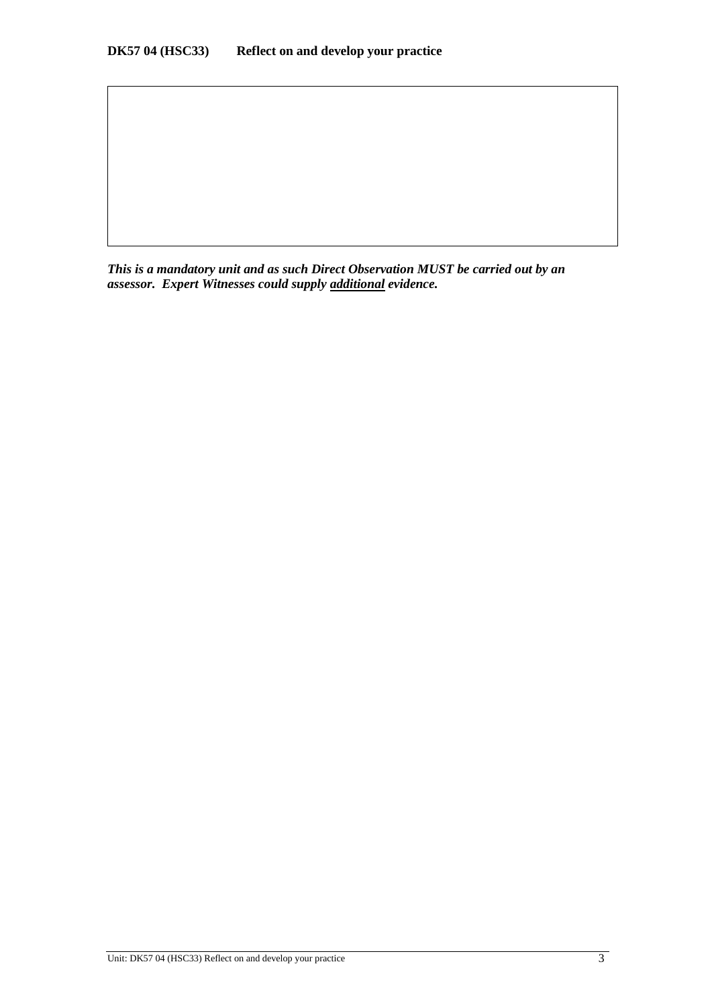*This is a mandatory unit and as such Direct Observation MUST be carried out by an assessor. Expert Witnesses could supply additional evidence.*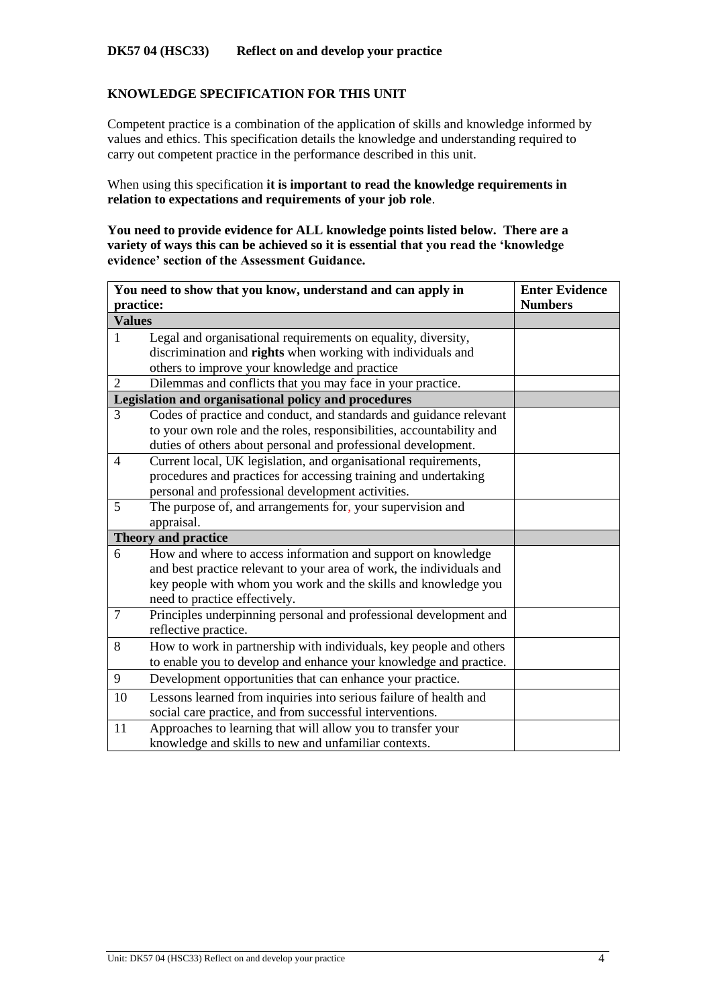## **KNOWLEDGE SPECIFICATION FOR THIS UNIT**

Competent practice is a combination of the application of skills and knowledge informed by values and ethics. This specification details the knowledge and understanding required to carry out competent practice in the performance described in this unit.

When using this specification **it is important to read the knowledge requirements in relation to expectations and requirements of your job role**.

**You need to provide evidence for ALL knowledge points listed below. There are a variety of ways this can be achieved so it is essential that you read the 'knowledge evidence' section of the Assessment Guidance.**

| You need to show that you know, understand and can apply in | <b>Enter Evidence</b>                                                |                |
|-------------------------------------------------------------|----------------------------------------------------------------------|----------------|
| practice:                                                   |                                                                      | <b>Numbers</b> |
| <b>Values</b>                                               |                                                                      |                |
| $\mathbf{1}$                                                | Legal and organisational requirements on equality, diversity,        |                |
|                                                             | discrimination and rights when working with individuals and          |                |
|                                                             | others to improve your knowledge and practice                        |                |
| 2                                                           | Dilemmas and conflicts that you may face in your practice.           |                |
|                                                             | Legislation and organisational policy and procedures                 |                |
| 3                                                           | Codes of practice and conduct, and standards and guidance relevant   |                |
|                                                             | to your own role and the roles, responsibilities, accountability and |                |
|                                                             | duties of others about personal and professional development.        |                |
| 4                                                           | Current local, UK legislation, and organisational requirements,      |                |
|                                                             | procedures and practices for accessing training and undertaking      |                |
|                                                             | personal and professional development activities.                    |                |
| 5                                                           | The purpose of, and arrangements for, your supervision and           |                |
|                                                             | appraisal.                                                           |                |
|                                                             | <b>Theory and practice</b>                                           |                |
| 6                                                           | How and where to access information and support on knowledge         |                |
|                                                             | and best practice relevant to your area of work, the individuals and |                |
|                                                             | key people with whom you work and the skills and knowledge you       |                |
|                                                             | need to practice effectively.                                        |                |
| $\overline{7}$                                              | Principles underpinning personal and professional development and    |                |
|                                                             | reflective practice.                                                 |                |
| 8                                                           | How to work in partnership with individuals, key people and others   |                |
|                                                             | to enable you to develop and enhance your knowledge and practice.    |                |
| 9                                                           | Development opportunities that can enhance your practice.            |                |
| 10                                                          | Lessons learned from inquiries into serious failure of health and    |                |
|                                                             | social care practice, and from successful interventions.             |                |
| 11                                                          | Approaches to learning that will allow you to transfer your          |                |
|                                                             | knowledge and skills to new and unfamiliar contexts.                 |                |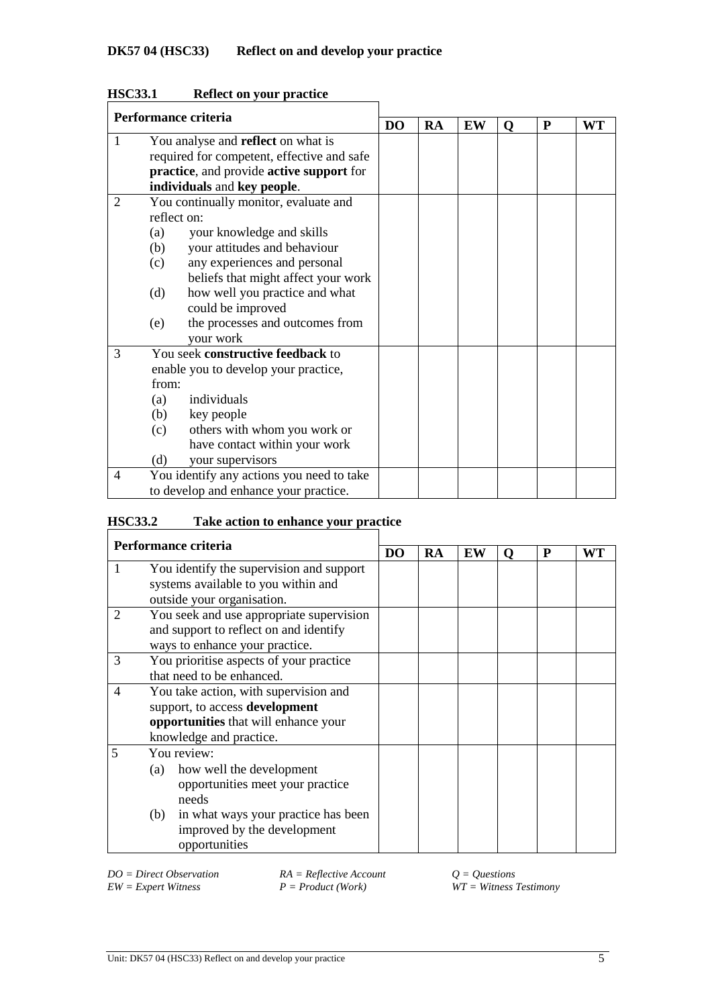| Performance criteria |       |                                            |                |           |    |   |   |           |
|----------------------|-------|--------------------------------------------|----------------|-----------|----|---|---|-----------|
|                      |       |                                            | D <sub>O</sub> | <b>RA</b> | EW | O | P | <b>WT</b> |
| $\mathbf{1}$         |       | You analyse and <b>reflect</b> on what is  |                |           |    |   |   |           |
|                      |       | required for competent, effective and safe |                |           |    |   |   |           |
|                      |       | practice, and provide active support for   |                |           |    |   |   |           |
|                      |       | individuals and key people.                |                |           |    |   |   |           |
| 2                    |       | You continually monitor, evaluate and      |                |           |    |   |   |           |
|                      |       | reflect on:                                |                |           |    |   |   |           |
|                      | (a)   | your knowledge and skills                  |                |           |    |   |   |           |
|                      | (b)   | your attitudes and behaviour               |                |           |    |   |   |           |
|                      | (c)   | any experiences and personal               |                |           |    |   |   |           |
|                      |       | beliefs that might affect your work        |                |           |    |   |   |           |
|                      | (d)   | how well you practice and what             |                |           |    |   |   |           |
|                      |       | could be improved                          |                |           |    |   |   |           |
|                      | (e)   | the processes and outcomes from            |                |           |    |   |   |           |
|                      |       | your work                                  |                |           |    |   |   |           |
| 3                    |       | You seek constructive feedback to          |                |           |    |   |   |           |
|                      |       | enable you to develop your practice,       |                |           |    |   |   |           |
|                      | from: |                                            |                |           |    |   |   |           |
|                      | (a)   | individuals                                |                |           |    |   |   |           |
|                      | (b)   | key people                                 |                |           |    |   |   |           |
|                      | (c)   | others with whom you work or               |                |           |    |   |   |           |
|                      |       | have contact within your work              |                |           |    |   |   |           |
|                      | (d)   | your supervisors                           |                |           |    |   |   |           |
| 4                    |       | You identify any actions you need to take  |                |           |    |   |   |           |
|                      |       | to develop and enhance your practice.      |                |           |    |   |   |           |

# **HSC33.1 Reflect on your practice**

# **HSC33.2 Take action to enhance your practice**

| Performance criteria |                                                                                                                                                                                           |  |    |    |   |   |    |
|----------------------|-------------------------------------------------------------------------------------------------------------------------------------------------------------------------------------------|--|----|----|---|---|----|
|                      |                                                                                                                                                                                           |  | RA | EW | 0 | P | WТ |
|                      | You identify the supervision and support<br>systems available to you within and<br>outside your organisation.                                                                             |  |    |    |   |   |    |
| 2                    | You seek and use appropriate supervision<br>and support to reflect on and identify<br>ways to enhance your practice.                                                                      |  |    |    |   |   |    |
| 3                    | You prioritise aspects of your practice<br>that need to be enhanced.                                                                                                                      |  |    |    |   |   |    |
| 4                    | You take action, with supervision and<br>support, to access development<br>opportunities that will enhance your<br>knowledge and practice.                                                |  |    |    |   |   |    |
| 5                    | You review:<br>how well the development<br>(a)<br>opportunities meet your practice<br>needs<br>in what ways your practice has been<br>(b)<br>improved by the development<br>opportunities |  |    |    |   |   |    |

*DO* = *Direct Observation RA* = *Reflective Account*  $Q = Q$ *uestions*<br>*EW* = *Expert Witness P* = *Product (Work) WT* = *Witness* <sup>2</sup>

*EW = Expert Witness P = Product (Work) WT = Witness Testimony*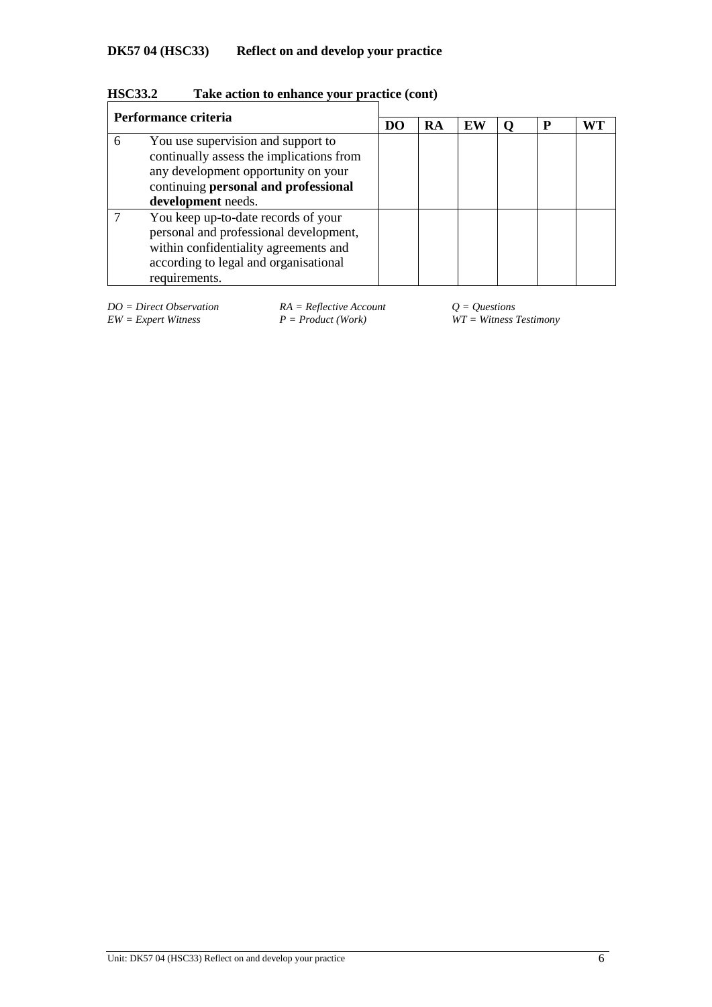| <b>HSC33.2</b> | Take action to enhance your practice (cont) |  |  |  |
|----------------|---------------------------------------------|--|--|--|
|----------------|---------------------------------------------|--|--|--|

|   | Performance criteria                                                                                                                                                                |  | RA | EW | Р |  |
|---|-------------------------------------------------------------------------------------------------------------------------------------------------------------------------------------|--|----|----|---|--|
| 6 | You use supervision and support to<br>continually assess the implications from<br>any development opportunity on your<br>continuing personal and professional<br>development needs. |  |    |    |   |  |
|   | You keep up-to-date records of your<br>personal and professional development,<br>within confidentiality agreements and<br>according to legal and organisational<br>requirements.    |  |    |    |   |  |

*DO = Direct Observation RA = Reflective Account Q = Questions*

*EW = Expert Witness P = Product (Work) WT = Witness Testimony*